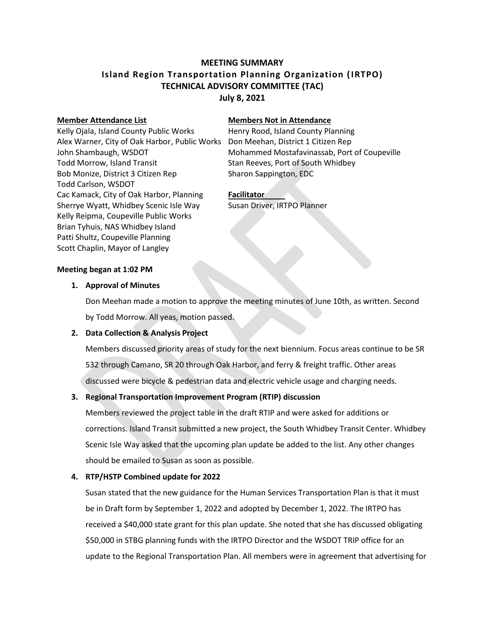# **MEETING SUMMARY Island Region Transportation Planning Organization (IRTPO) TECHNICAL ADVISORY COMMITTEE (TAC) July 8, 2021**

Kelly Ojala, Island County Public Works Henry Rood, Island County Planning Alex Warner, City of Oak Harbor, Public Works Don Meehan, District 1 Citizen Rep Todd Morrow, Island Transit Stan Reeves, Port of South Whidbey Bob Monize, District 3 Citizen Rep Sharon Sappington, EDC Todd Carlson, WSDOT Cac Kamack, City of Oak Harbor, Planning **Facilitator** Sherrye Wyatt, Whidbey Scenic Isle Way Susan Driver, IRTPO Planner Kelly Reipma, Coupeville Public Works Brian Tyhuis, NAS Whidbey Island Patti Shultz, Coupeville Planning Scott Chaplin, Mayor of Langley

#### **Member Attendance List Members Not in Attendance**

John Shambaugh, WSDOT **Mohammed Mostafavinassab, Port of Coupeville** 

### **Meeting began at 1:02 PM**

### **1. Approval of Minutes**

Don Meehan made a motion to approve the meeting minutes of June 10th, as written. Second by Todd Morrow. All yeas, motion passed.

# **2. Data Collection & Analysis Project**

Members discussed priority areas of study for the next biennium. Focus areas continue to be SR 532 through Camano, SR 20 through Oak Harbor, and ferry & freight traffic. Other areas discussed were bicycle & pedestrian data and electric vehicle usage and charging needs.

# **3. Regional Transportation Improvement Program (RTIP) discussion**

Members reviewed the project table in the draft RTIP and were asked for additions or corrections. Island Transit submitted a new project, the South Whidbey Transit Center. Whidbey Scenic Isle Way asked that the upcoming plan update be added to the list. Any other changes should be emailed to Susan as soon as possible.

# **4. RTP/HSTP Combined update for 2022**

Susan stated that the new guidance for the Human Services Transportation Plan is that it must be in Draft form by September 1, 2022 and adopted by December 1, 2022. The IRTPO has received a \$40,000 state grant for this plan update. She noted that she has discussed obligating \$50,000 in STBG planning funds with the IRTPO Director and the WSDOT TRIP office for an update to the Regional Transportation Plan. All members were in agreement that advertising for